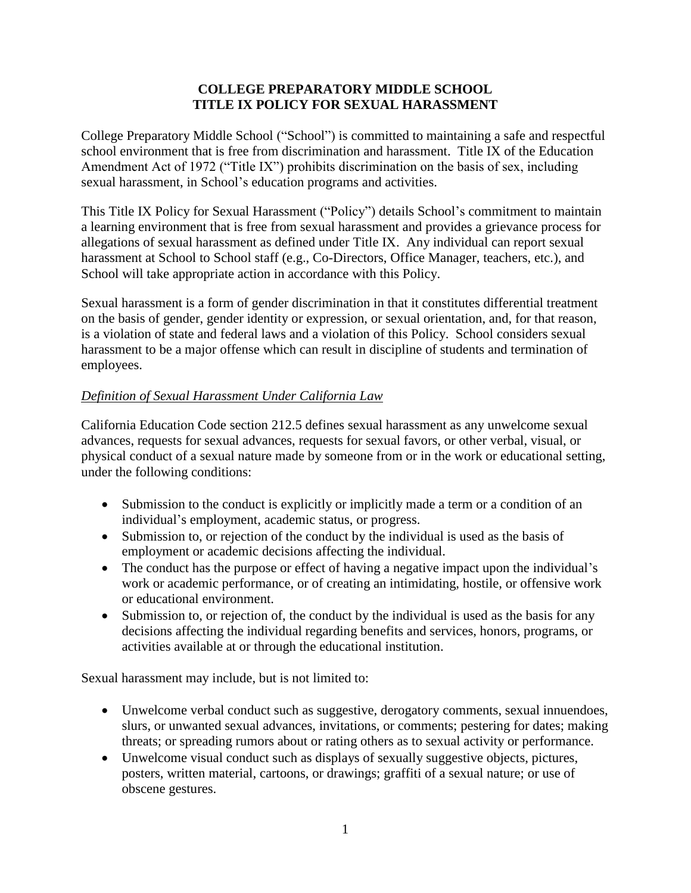#### **COLLEGE PREPARATORY MIDDLE SCHOOL TITLE IX POLICY FOR SEXUAL HARASSMENT**

College Preparatory Middle School ("School") is committed to maintaining a safe and respectful school environment that is free from discrimination and harassment. Title IX of the Education Amendment Act of 1972 ("Title IX") prohibits discrimination on the basis of sex, including sexual harassment, in School's education programs and activities.

This Title IX Policy for Sexual Harassment ("Policy") details School's commitment to maintain a learning environment that is free from sexual harassment and provides a grievance process for allegations of sexual harassment as defined under Title IX. Any individual can report sexual harassment at School to School staff (e.g., Co-Directors, Office Manager, teachers, etc.), and School will take appropriate action in accordance with this Policy.

Sexual harassment is a form of gender discrimination in that it constitutes differential treatment on the basis of gender, gender identity or expression, or sexual orientation, and, for that reason, is a violation of state and federal laws and a violation of this Policy. School considers sexual harassment to be a major offense which can result in discipline of students and termination of employees.

## *Definition of Sexual Harassment Under California Law*

California Education Code section 212.5 defines sexual harassment as any unwelcome sexual advances, requests for sexual advances, requests for sexual favors, or other verbal, visual, or physical conduct of a sexual nature made by someone from or in the work or educational setting, under the following conditions:

- Submission to the conduct is explicitly or implicitly made a term or a condition of an individual's employment, academic status, or progress.
- Submission to, or rejection of the conduct by the individual is used as the basis of employment or academic decisions affecting the individual.
- The conduct has the purpose or effect of having a negative impact upon the individual's work or academic performance, or of creating an intimidating, hostile, or offensive work or educational environment.
- Submission to, or rejection of, the conduct by the individual is used as the basis for any decisions affecting the individual regarding benefits and services, honors, programs, or activities available at or through the educational institution.

Sexual harassment may include, but is not limited to:

- Unwelcome verbal conduct such as suggestive, derogatory comments, sexual innuendoes, slurs, or unwanted sexual advances, invitations, or comments; pestering for dates; making threats; or spreading rumors about or rating others as to sexual activity or performance.
- Unwelcome visual conduct such as displays of sexually suggestive objects, pictures, posters, written material, cartoons, or drawings; graffiti of a sexual nature; or use of obscene gestures.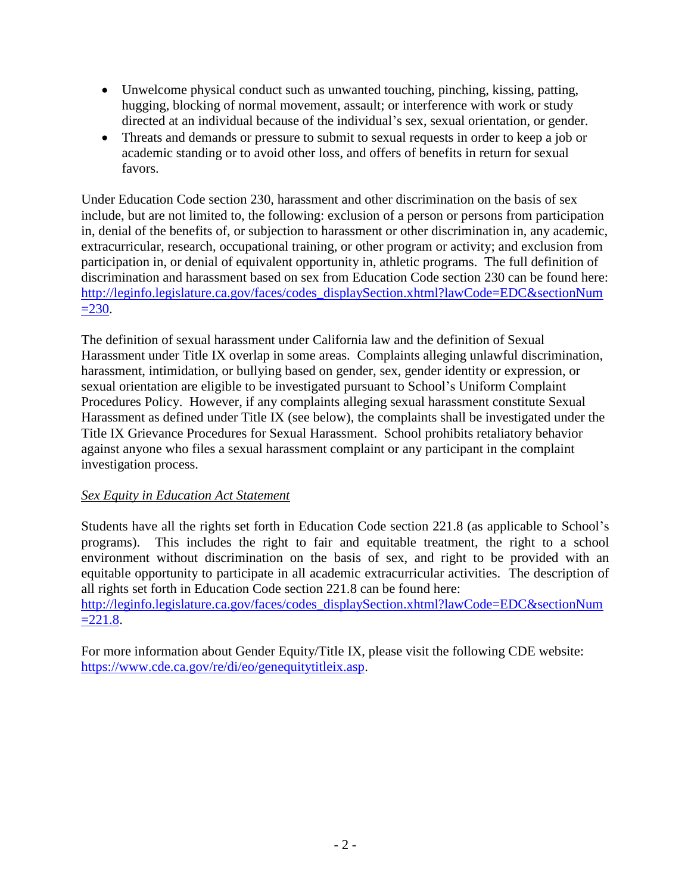- Unwelcome physical conduct such as unwanted touching, pinching, kissing, patting, hugging, blocking of normal movement, assault; or interference with work or study directed at an individual because of the individual's sex, sexual orientation, or gender.
- Threats and demands or pressure to submit to sexual requests in order to keep a job or academic standing or to avoid other loss, and offers of benefits in return for sexual favors.

Under Education Code section 230, harassment and other discrimination on the basis of sex include, but are not limited to, the following: exclusion of a person or persons from participation in, denial of the benefits of, or subjection to harassment or other discrimination in, any academic, extracurricular, research, occupational training, or other program or activity; and exclusion from participation in, or denial of equivalent opportunity in, athletic programs. The full definition of discrimination and harassment based on sex from Education Code section 230 can be found here: [http://leginfo.legislature.ca.gov/faces/codes\\_displaySection.xhtml?lawCode=EDC&sectionNum](http://leginfo.legislature.ca.gov/faces/codes_displaySection.xhtml?lawCode=EDC§ionNum=230)  $=230$ .

The definition of sexual harassment under California law and the definition of Sexual Harassment under Title IX overlap in some areas. Complaints alleging unlawful discrimination, harassment, intimidation, or bullying based on gender, sex, gender identity or expression, or sexual orientation are eligible to be investigated pursuant to School's Uniform Complaint Procedures Policy. However, if any complaints alleging sexual harassment constitute Sexual Harassment as defined under Title IX (see below), the complaints shall be investigated under the Title IX Grievance Procedures for Sexual Harassment. School prohibits retaliatory behavior against anyone who files a sexual harassment complaint or any participant in the complaint investigation process.

#### *Sex Equity in Education Act Statement*

Students have all the rights set forth in Education Code section 221.8 (as applicable to School's programs). This includes the right to fair and equitable treatment, the right to a school environment without discrimination on the basis of sex, and right to be provided with an equitable opportunity to participate in all academic extracurricular activities. The description of all rights set forth in Education Code section 221.8 can be found here:

[http://leginfo.legislature.ca.gov/faces/codes\\_displaySection.xhtml?lawCode=EDC&sectionNum](http://leginfo.legislature.ca.gov/faces/codes_displaySection.xhtml?lawCode=EDC§ionNum=221.8)  $=221.8$ .

For more information about Gender Equity/Title IX, please visit the following CDE website: [https://www.cde.ca.gov/re/di/eo/genequitytitleix.asp.](https://www.cde.ca.gov/re/di/eo/genequitytitleix.asp)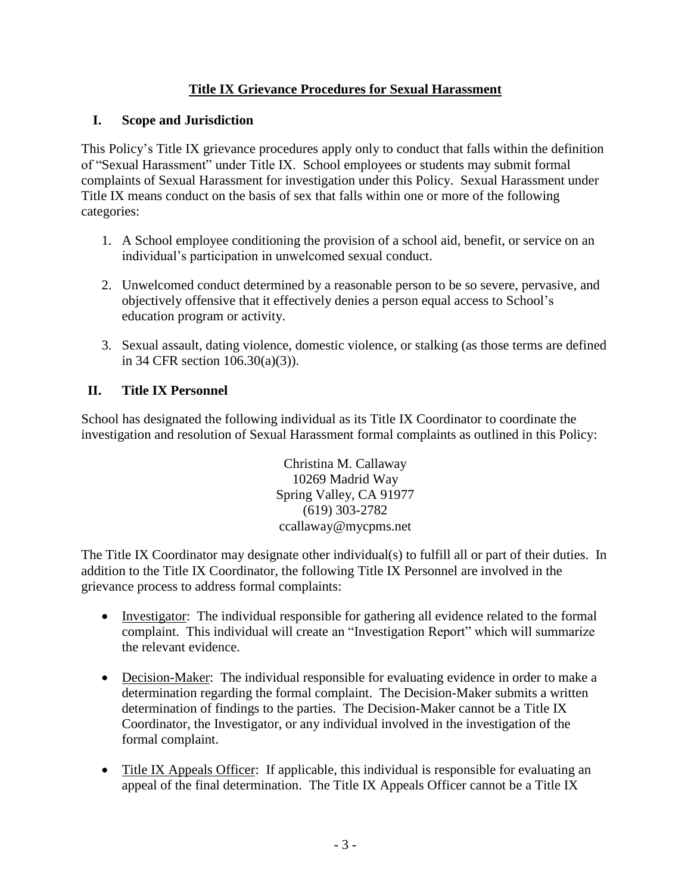## **Title IX Grievance Procedures for Sexual Harassment**

#### **I. Scope and Jurisdiction**

This Policy's Title IX grievance procedures apply only to conduct that falls within the definition of "Sexual Harassment" under Title IX. School employees or students may submit formal complaints of Sexual Harassment for investigation under this Policy. Sexual Harassment under Title IX means conduct on the basis of sex that falls within one or more of the following categories:

- 1. A School employee conditioning the provision of a school aid, benefit, or service on an individual's participation in unwelcomed sexual conduct.
- 2. Unwelcomed conduct determined by a reasonable person to be so severe, pervasive, and objectively offensive that it effectively denies a person equal access to School's education program or activity.
- 3. Sexual assault, dating violence, domestic violence, or stalking (as those terms are defined in 34 CFR section 106.30(a)(3)).

## **II. Title IX Personnel**

School has designated the following individual as its Title IX Coordinator to coordinate the investigation and resolution of Sexual Harassment formal complaints as outlined in this Policy:

> Christina M. Callaway 10269 Madrid Way Spring Valley, CA 91977 (619) 303-2782 ccallaway@mycpms.net

The Title IX Coordinator may designate other individual(s) to fulfill all or part of their duties. In addition to the Title IX Coordinator, the following Title IX Personnel are involved in the grievance process to address formal complaints:

- Investigator: The individual responsible for gathering all evidence related to the formal complaint. This individual will create an "Investigation Report" which will summarize the relevant evidence.
- Decision-Maker: The individual responsible for evaluating evidence in order to make a determination regarding the formal complaint. The Decision-Maker submits a written determination of findings to the parties. The Decision-Maker cannot be a Title IX Coordinator, the Investigator, or any individual involved in the investigation of the formal complaint.
- Title IX Appeals Officer: If applicable, this individual is responsible for evaluating an appeal of the final determination. The Title IX Appeals Officer cannot be a Title IX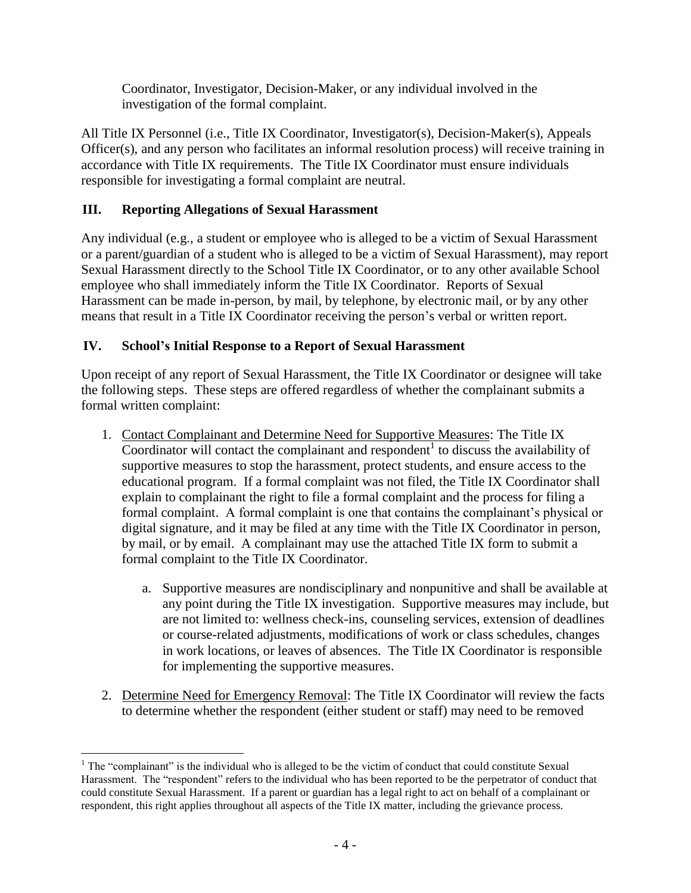Coordinator, Investigator, Decision-Maker, or any individual involved in the investigation of the formal complaint.

All Title IX Personnel (i.e., Title IX Coordinator, Investigator(s), Decision-Maker(s), Appeals Officer(s), and any person who facilitates an informal resolution process) will receive training in accordance with Title IX requirements. The Title IX Coordinator must ensure individuals responsible for investigating a formal complaint are neutral.

## **III. Reporting Allegations of Sexual Harassment**

Any individual (e.g., a student or employee who is alleged to be a victim of Sexual Harassment or a parent/guardian of a student who is alleged to be a victim of Sexual Harassment), may report Sexual Harassment directly to the School Title IX Coordinator, or to any other available School employee who shall immediately inform the Title IX Coordinator. Reports of Sexual Harassment can be made in-person, by mail, by telephone, by electronic mail, or by any other means that result in a Title IX Coordinator receiving the person's verbal or written report.

## **IV. School's Initial Response to a Report of Sexual Harassment**

Upon receipt of any report of Sexual Harassment, the Title IX Coordinator or designee will take the following steps. These steps are offered regardless of whether the complainant submits a formal written complaint:

- 1. Contact Complainant and Determine Need for Supportive Measures: The Title IX Coordinator will contact the complainant and respondent<sup>1</sup> to discuss the availability of supportive measures to stop the harassment, protect students, and ensure access to the educational program. If a formal complaint was not filed, the Title IX Coordinator shall explain to complainant the right to file a formal complaint and the process for filing a formal complaint. A formal complaint is one that contains the complainant's physical or digital signature, and it may be filed at any time with the Title IX Coordinator in person, by mail, or by email. A complainant may use the attached Title IX form to submit a formal complaint to the Title IX Coordinator.
	- a. Supportive measures are nondisciplinary and nonpunitive and shall be available at any point during the Title IX investigation. Supportive measures may include, but are not limited to: wellness check-ins, counseling services, extension of deadlines or course-related adjustments, modifications of work or class schedules, changes in work locations, or leaves of absences. The Title IX Coordinator is responsible for implementing the supportive measures.
- 2. Determine Need for Emergency Removal: The Title IX Coordinator will review the facts to determine whether the respondent (either student or staff) may need to be removed

 $\overline{a}$ <sup>1</sup> The "complainant" is the individual who is alleged to be the victim of conduct that could constitute Sexual Harassment. The "respondent" refers to the individual who has been reported to be the perpetrator of conduct that could constitute Sexual Harassment. If a parent or guardian has a legal right to act on behalf of a complainant or respondent, this right applies throughout all aspects of the Title IX matter, including the grievance process.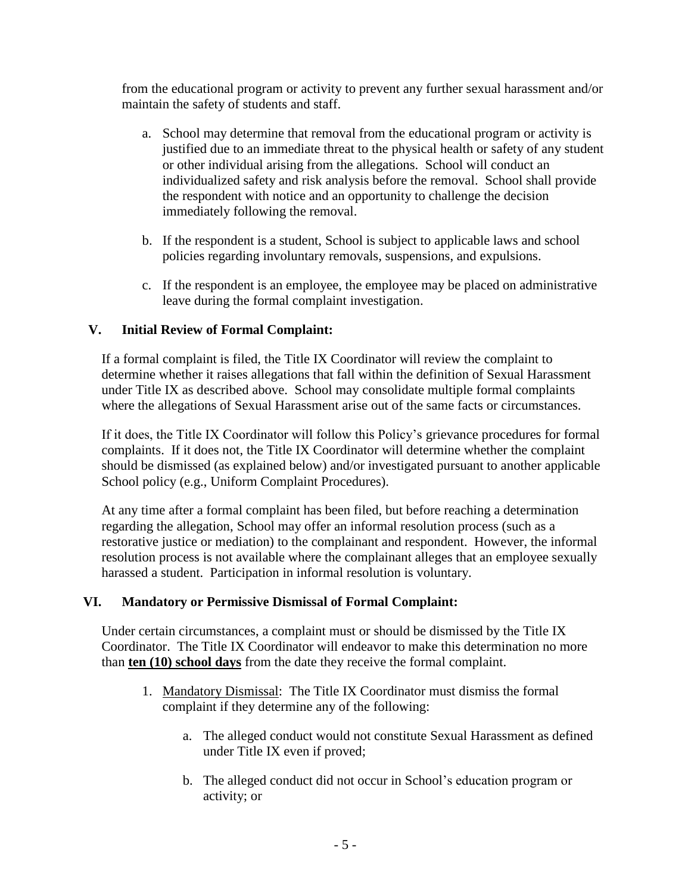from the educational program or activity to prevent any further sexual harassment and/or maintain the safety of students and staff.

- a. School may determine that removal from the educational program or activity is justified due to an immediate threat to the physical health or safety of any student or other individual arising from the allegations. School will conduct an individualized safety and risk analysis before the removal. School shall provide the respondent with notice and an opportunity to challenge the decision immediately following the removal.
- b. If the respondent is a student, School is subject to applicable laws and school policies regarding involuntary removals, suspensions, and expulsions.
- c. If the respondent is an employee, the employee may be placed on administrative leave during the formal complaint investigation.

#### **V. Initial Review of Formal Complaint:**

If a formal complaint is filed, the Title IX Coordinator will review the complaint to determine whether it raises allegations that fall within the definition of Sexual Harassment under Title IX as described above. School may consolidate multiple formal complaints where the allegations of Sexual Harassment arise out of the same facts or circumstances.

If it does, the Title IX Coordinator will follow this Policy's grievance procedures for formal complaints. If it does not, the Title IX Coordinator will determine whether the complaint should be dismissed (as explained below) and/or investigated pursuant to another applicable School policy (e.g., Uniform Complaint Procedures).

At any time after a formal complaint has been filed, but before reaching a determination regarding the allegation, School may offer an informal resolution process (such as a restorative justice or mediation) to the complainant and respondent. However, the informal resolution process is not available where the complainant alleges that an employee sexually harassed a student. Participation in informal resolution is voluntary.

#### **VI. Mandatory or Permissive Dismissal of Formal Complaint:**

Under certain circumstances, a complaint must or should be dismissed by the Title IX Coordinator. The Title IX Coordinator will endeavor to make this determination no more than **ten (10) school days** from the date they receive the formal complaint.

- 1. Mandatory Dismissal: The Title IX Coordinator must dismiss the formal complaint if they determine any of the following:
	- a. The alleged conduct would not constitute Sexual Harassment as defined under Title IX even if proved;
	- b. The alleged conduct did not occur in School's education program or activity; or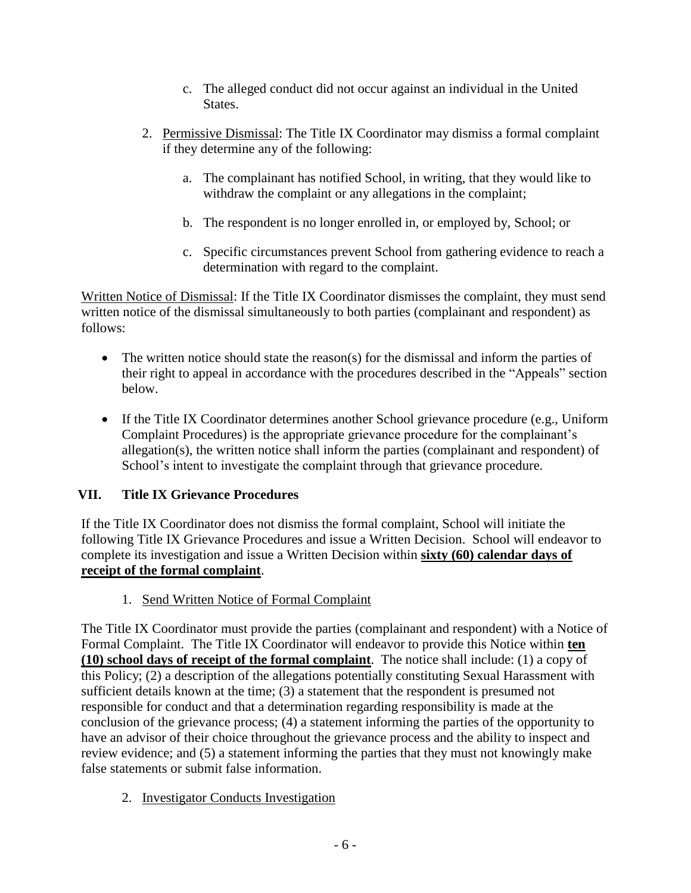- c. The alleged conduct did not occur against an individual in the United States.
- 2. Permissive Dismissal: The Title IX Coordinator may dismiss a formal complaint if they determine any of the following:
	- a. The complainant has notified School, in writing, that they would like to withdraw the complaint or any allegations in the complaint;
	- b. The respondent is no longer enrolled in, or employed by, School; or
	- c. Specific circumstances prevent School from gathering evidence to reach a determination with regard to the complaint.

Written Notice of Dismissal: If the Title IX Coordinator dismisses the complaint, they must send written notice of the dismissal simultaneously to both parties (complainant and respondent) as follows:

- The written notice should state the reason(s) for the dismissal and inform the parties of their right to appeal in accordance with the procedures described in the "Appeals" section below.
- If the Title IX Coordinator determines another School grievance procedure (e.g., Uniform Complaint Procedures) is the appropriate grievance procedure for the complainant's allegation(s), the written notice shall inform the parties (complainant and respondent) of School's intent to investigate the complaint through that grievance procedure.

## **VII. Title IX Grievance Procedures**

If the Title IX Coordinator does not dismiss the formal complaint, School will initiate the following Title IX Grievance Procedures and issue a Written Decision. School will endeavor to complete its investigation and issue a Written Decision within **sixty (60) calendar days of receipt of the formal complaint**.

1. Send Written Notice of Formal Complaint

The Title IX Coordinator must provide the parties (complainant and respondent) with a Notice of Formal Complaint. The Title IX Coordinator will endeavor to provide this Notice within **ten (10) school days of receipt of the formal complaint**. The notice shall include: (1) a copy of this Policy; (2) a description of the allegations potentially constituting Sexual Harassment with sufficient details known at the time; (3) a statement that the respondent is presumed not responsible for conduct and that a determination regarding responsibility is made at the conclusion of the grievance process; (4) a statement informing the parties of the opportunity to have an advisor of their choice throughout the grievance process and the ability to inspect and review evidence; and (5) a statement informing the parties that they must not knowingly make false statements or submit false information.

2. Investigator Conducts Investigation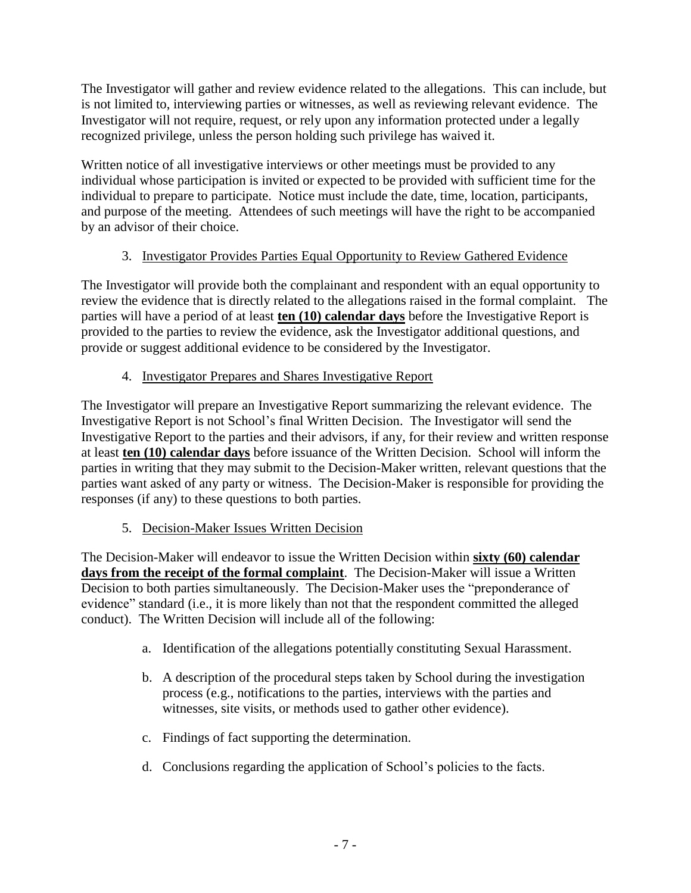The Investigator will gather and review evidence related to the allegations. This can include, but is not limited to, interviewing parties or witnesses, as well as reviewing relevant evidence. The Investigator will not require, request, or rely upon any information protected under a legally recognized privilege, unless the person holding such privilege has waived it.

Written notice of all investigative interviews or other meetings must be provided to any individual whose participation is invited or expected to be provided with sufficient time for the individual to prepare to participate. Notice must include the date, time, location, participants, and purpose of the meeting. Attendees of such meetings will have the right to be accompanied by an advisor of their choice.

## 3. Investigator Provides Parties Equal Opportunity to Review Gathered Evidence

The Investigator will provide both the complainant and respondent with an equal opportunity to review the evidence that is directly related to the allegations raised in the formal complaint. The parties will have a period of at least **ten (10) calendar days** before the Investigative Report is provided to the parties to review the evidence, ask the Investigator additional questions, and provide or suggest additional evidence to be considered by the Investigator.

## 4. Investigator Prepares and Shares Investigative Report

The Investigator will prepare an Investigative Report summarizing the relevant evidence. The Investigative Report is not School's final Written Decision. The Investigator will send the Investigative Report to the parties and their advisors, if any, for their review and written response at least **ten (10) calendar days** before issuance of the Written Decision. School will inform the parties in writing that they may submit to the Decision-Maker written, relevant questions that the parties want asked of any party or witness. The Decision-Maker is responsible for providing the responses (if any) to these questions to both parties.

## 5. Decision-Maker Issues Written Decision

The Decision-Maker will endeavor to issue the Written Decision within **sixty (60) calendar days from the receipt of the formal complaint**. The Decision-Maker will issue a Written Decision to both parties simultaneously. The Decision-Maker uses the "preponderance of evidence" standard (i.e., it is more likely than not that the respondent committed the alleged conduct). The Written Decision will include all of the following:

- a. Identification of the allegations potentially constituting Sexual Harassment.
- b. A description of the procedural steps taken by School during the investigation process (e.g., notifications to the parties, interviews with the parties and witnesses, site visits, or methods used to gather other evidence).
- c. Findings of fact supporting the determination.
- d. Conclusions regarding the application of School's policies to the facts.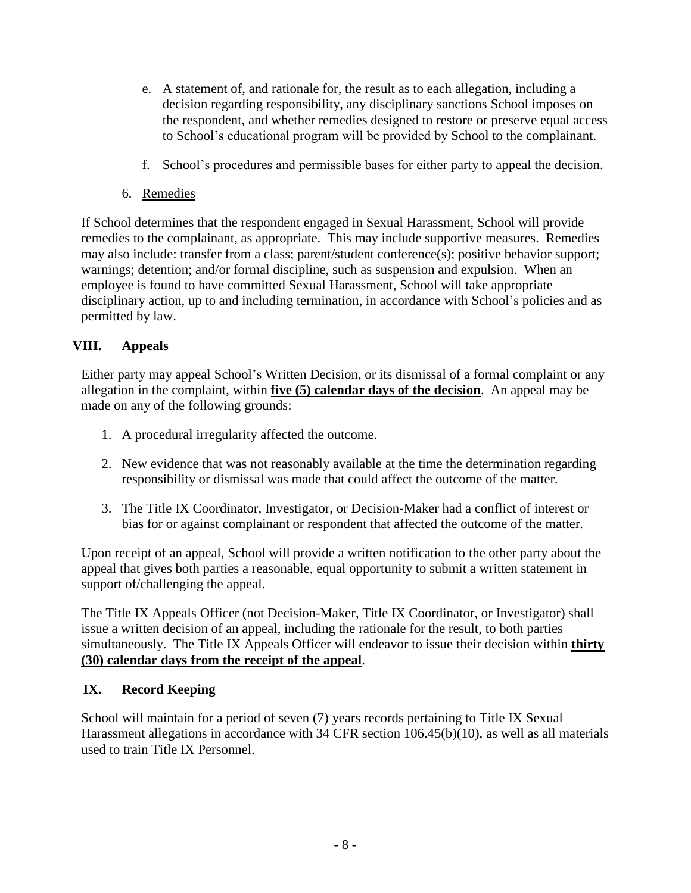- e. A statement of, and rationale for, the result as to each allegation, including a decision regarding responsibility, any disciplinary sanctions School imposes on the respondent, and whether remedies designed to restore or preserve equal access to School's educational program will be provided by School to the complainant.
- f. School's procedures and permissible bases for either party to appeal the decision.
- 6. Remedies

If School determines that the respondent engaged in Sexual Harassment, School will provide remedies to the complainant, as appropriate. This may include supportive measures. Remedies may also include: transfer from a class; parent/student conference(s); positive behavior support; warnings; detention; and/or formal discipline, such as suspension and expulsion. When an employee is found to have committed Sexual Harassment, School will take appropriate disciplinary action, up to and including termination, in accordance with School's policies and as permitted by law.

#### **VIII. Appeals**

Either party may appeal School's Written Decision, or its dismissal of a formal complaint or any allegation in the complaint, within **five (5) calendar days of the decision**. An appeal may be made on any of the following grounds:

- 1. A procedural irregularity affected the outcome.
- 2. New evidence that was not reasonably available at the time the determination regarding responsibility or dismissal was made that could affect the outcome of the matter.
- 3. The Title IX Coordinator, Investigator, or Decision-Maker had a conflict of interest or bias for or against complainant or respondent that affected the outcome of the matter.

Upon receipt of an appeal, School will provide a written notification to the other party about the appeal that gives both parties a reasonable, equal opportunity to submit a written statement in support of/challenging the appeal.

The Title IX Appeals Officer (not Decision-Maker, Title IX Coordinator, or Investigator) shall issue a written decision of an appeal, including the rationale for the result, to both parties simultaneously. The Title IX Appeals Officer will endeavor to issue their decision within **thirty (30) calendar days from the receipt of the appeal**.

#### **IX. Record Keeping**

School will maintain for a period of seven (7) years records pertaining to Title IX Sexual Harassment allegations in accordance with 34 CFR section 106.45(b)(10), as well as all materials used to train Title IX Personnel.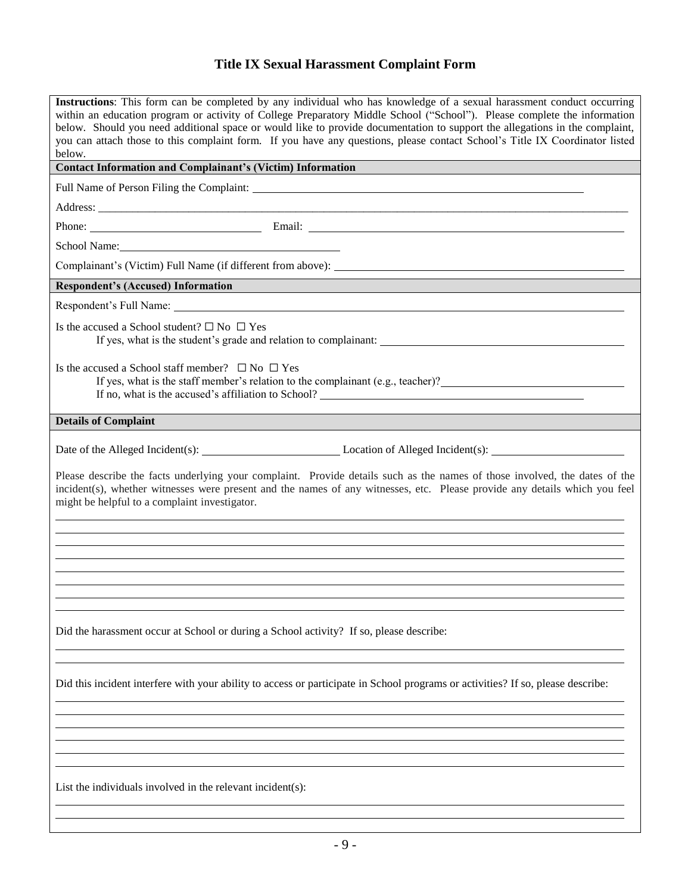# **Title IX Sexual Harassment Complaint Form**

| below.                                                      | Instructions: This form can be completed by any individual who has knowledge of a sexual harassment conduct occurring<br>within an education program or activity of College Preparatory Middle School ("School"). Please complete the information<br>below. Should you need additional space or would like to provide documentation to support the allegations in the complaint,<br>you can attach those to this complaint form. If you have any questions, please contact School's Title IX Coordinator listed |
|-------------------------------------------------------------|-----------------------------------------------------------------------------------------------------------------------------------------------------------------------------------------------------------------------------------------------------------------------------------------------------------------------------------------------------------------------------------------------------------------------------------------------------------------------------------------------------------------|
|                                                             | <b>Contact Information and Complainant's (Victim) Information</b>                                                                                                                                                                                                                                                                                                                                                                                                                                               |
|                                                             |                                                                                                                                                                                                                                                                                                                                                                                                                                                                                                                 |
|                                                             |                                                                                                                                                                                                                                                                                                                                                                                                                                                                                                                 |
|                                                             |                                                                                                                                                                                                                                                                                                                                                                                                                                                                                                                 |
|                                                             | School Name: Name and School Name and School Name and School Name and School Name and School Name and School Name and School Name and School Name and School Name and School Name and School Name and School Name and School N                                                                                                                                                                                                                                                                                  |
|                                                             |                                                                                                                                                                                                                                                                                                                                                                                                                                                                                                                 |
| <b>Respondent's (Accused) Information</b>                   |                                                                                                                                                                                                                                                                                                                                                                                                                                                                                                                 |
|                                                             | Respondent's Full Name: Law and Second Contract and Second Contract and Second Contract and Second Contract and Second Contract and Second Contract and Second Contract and Second Contract and Second Contract and Second Con                                                                                                                                                                                                                                                                                  |
| Is the accused a School student? $\square$ No $\square$ Yes | If yes, what is the student's grade and relation to complainant:                                                                                                                                                                                                                                                                                                                                                                                                                                                |
|                                                             | Is the accused a School staff member? $\Box$ No $\Box$ Yes<br>If yes, what is the staff member's relation to the complainant (e.g., teacher)?                                                                                                                                                                                                                                                                                                                                                                   |
| <b>Details of Complaint</b>                                 |                                                                                                                                                                                                                                                                                                                                                                                                                                                                                                                 |
| might be helpful to a complaint investigator.               |                                                                                                                                                                                                                                                                                                                                                                                                                                                                                                                 |
|                                                             | Did the harassment occur at School or during a School activity? If so, please describe:                                                                                                                                                                                                                                                                                                                                                                                                                         |
|                                                             | Did this incident interfere with your ability to access or participate in School programs or activities? If so, please describe:                                                                                                                                                                                                                                                                                                                                                                                |
|                                                             |                                                                                                                                                                                                                                                                                                                                                                                                                                                                                                                 |
|                                                             | List the individuals involved in the relevant incident(s):                                                                                                                                                                                                                                                                                                                                                                                                                                                      |
|                                                             |                                                                                                                                                                                                                                                                                                                                                                                                                                                                                                                 |